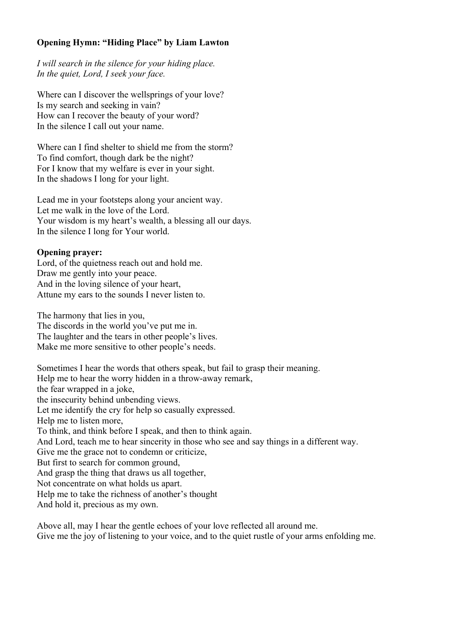## **Opening Hymn: "Hiding Place" by Liam Lawton**

*I will search in the silence for your hiding place. In the quiet, Lord, I seek your face.*

Where can I discover the wellsprings of your love? Is my search and seeking in vain? How can I recover the beauty of your word? In the silence I call out your name.

Where can I find shelter to shield me from the storm? To find comfort, though dark be the night? For I know that my welfare is ever in your sight. In the shadows I long for your light.

Lead me in your footsteps along your ancient way. Let me walk in the love of the Lord. Your wisdom is my heart's wealth, a blessing all our days. In the silence I long for Your world.

## **Opening prayer:**

Lord, of the quietness reach out and hold me. Draw me gently into your peace. And in the loving silence of your heart, Attune my ears to the sounds I never listen to.

The harmony that lies in you, The discords in the world you've put me in. The laughter and the tears in other people's lives. Make me more sensitive to other people's needs.

Sometimes I hear the words that others speak, but fail to grasp their meaning. Help me to hear the worry hidden in a throw-away remark, the fear wrapped in a joke, the insecurity behind unbending views. Let me identify the cry for help so casually expressed. Help me to listen more, To think, and think before I speak, and then to think again. And Lord, teach me to hear sincerity in those who see and say things in a different way. Give me the grace not to condemn or criticize, But first to search for common ground, And grasp the thing that draws us all together, Not concentrate on what holds us apart. Help me to take the richness of another's thought And hold it, precious as my own.

Above all, may I hear the gentle echoes of your love reflected all around me. Give me the joy of listening to your voice, and to the quiet rustle of your arms enfolding me.